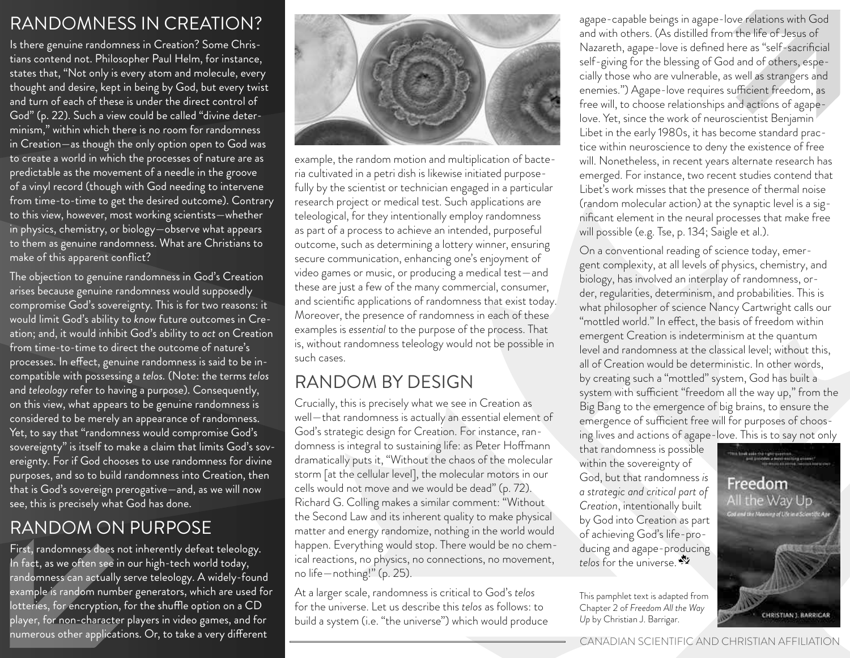### RANDOMNESS IN CREATION?

Is there genuine randomness in Creation? Some Christians contend not. Philosopher Paul Helm, for instance, states that, "Not only is every atom and molecule, every thought and desire, kept in being by God, but every twist and turn of each of these is under the direct control of God" (p. 22). Such a view could be called "divine determinism," within which there is no room for randomness in Creation—as though the only option open to God was to create a world in which the processes of nature are as predictable as the movement of a needle in the groove of a vinyl record (though with God needing to intervene from time-to-time to get the desired outcome). Contrary to this view, however, most working scientists—whether in physics, chemistry, or biology—observe what appears to them as genuine randomness. What are Christians to make of this apparent conflict?

The objection to genuine randomness in God's Creation arises because genuine randomness would supposedly compromise God's sovereignty. This is for two reasons: it would limit God's ability to *know* future outcomes in Creation; and, it would inhibit God's ability to *act* on Creation from time-to-time to direct the outcome of nature's processes. In effect, genuine randomness is said to be incompatible with possessing a *telos.* (Note: the terms *telos* and *teleology* refer to having a purpose). Consequently, on this view, what appears to be genuine randomness is considered to be merely an appearance of randomness. Yet, to say that "randomness would compromise God's sovereignty" is itself to make a claim that limits God's sovereignty. For if God chooses to use randomness for divine purposes, and so to build randomness into Creation, then that is God's sovereign prerogative—and, as we will now see, this is precisely what God has done.

## RANDOM ON PURPOSE

First, randomness does not inherently defeat teleology. In fact, as we often see in our high-tech world today, randomness can actually serve teleology. A widely-found example is random number generators, which are used for lotteries, for encryption, for the shuffle option on a CD player, for non-character players in video games, and for numerous other applications. Or, to take a very different



example, the random motion and multiplication of bacteria cultivated in a petri dish is likewise initiated purposefully by the scientist or technician engaged in a particular research project or medical test. Such applications are teleological, for they intentionally employ randomness as part of a process to achieve an intended, purposeful outcome, such as determining a lottery winner, ensuring secure communication, enhancing one's enjoyment of video games or music, or producing a medical test—and these are just a few of the many commercial, consumer, and scientific applications of randomness that exist today. Moreover, the presence of randomness in each of these examples is *essential* to the purpose of the process. That is, without randomness teleology would not be possible in such cases.

## RANDOM BY DESIGN

Crucially, this is precisely what we see in Creation as well—that randomness is actually an essential element of God's strategic design for Creation. For instance, randomness is integral to sustaining life: as Peter Hoffmann dramatically puts it, "Without the chaos of the molecular storm [at the cellular level], the molecular motors in our cells would not move and we would be dead" (p. 72). Richard G. Colling makes a similar comment: "Without the Second Law and its inherent quality to make physical matter and energy randomize, nothing in the world would happen. Everything would stop. There would be no chemical reactions, no physics, no connections, no movement, no life—nothing!" (p. 25).

At a larger scale, randomness is critical to God's *telos* for the universe. Let us describe this *telos* as follows: to build a system (i.e. "the universe") which would produce

agape-capable beings in agape-love relations with God and with others. (As distilled from the life of Jesus of Nazareth, agape-love is defined here as "self-sacrificial self-giving for the blessing of God and of others, especially those who are vulnerable, as well as strangers and enemies.") Agape-love requires sufficient freedom, as free will, to choose relationships and actions of agapelove. Yet, since the work of neuroscientist Benjamin Libet in the early 1980s, it has become standard practice within neuroscience to deny the existence of free will. Nonetheless, in recent years alternate research has emerged. For instance, two recent studies contend that Libet's work misses that the presence of thermal noise (random molecular action) at the synaptic level is a significant element in the neural processes that make free will possible (e.g. Tse, p. 134; Saigle et al.).

On a conventional reading of science today, emergent complexity, at all levels of physics, chemistry, and biology, has involved an interplay of randomness, order, regularities, determinism, and probabilities. This is what philosopher of science Nancy Cartwright calls our "mottled world." In effect, the basis of freedom within emergent Creation is indeterminism at the quantum level and randomness at the classical level; without this, all of Creation would be deterministic. In other words, by creating such a "mottled" system, God has built a system with sufficient "freedom all the way up," from the Big Bang to the emergence of big brains, to ensure the emergence of sufficient free will for purposes of choosing lives and actions of agape-love. This is to say not only

that randomness is possible within the sovereignty of God, but that randomness *is a strategic and critical part of Creation*, intentionally built by God into Creation as part of achieving God's life-producing and agape-producing *telos* for the universe.

This pamphlet text is adapted from Chapter 2 of *Freedom All the Way Up* by Christian J. Barrigar.



CANADIAN SCIENTIFIC AND CHRISTIAN AFFILIATION